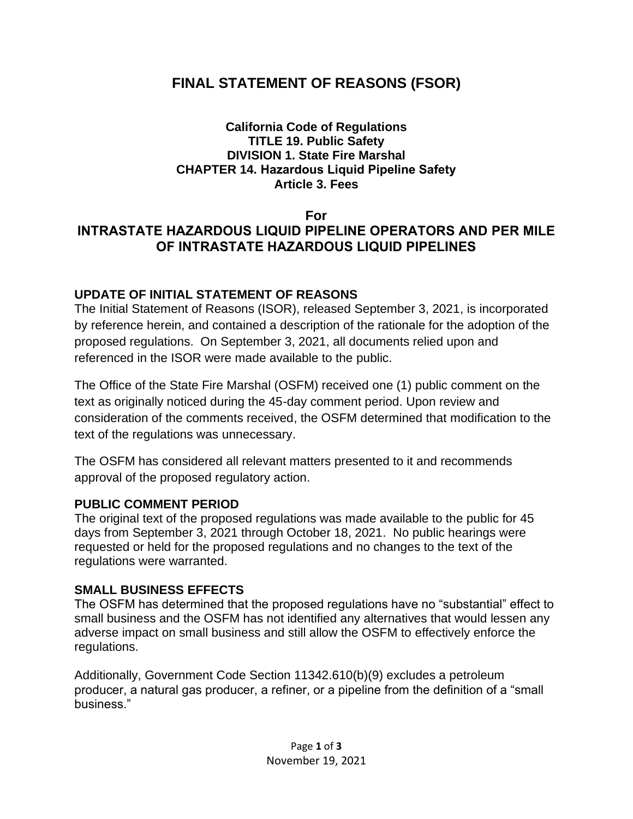# **FINAL STATEMENT OF REASONS (FSOR)**

#### **California Code of Regulations TITLE 19. Public Safety DIVISION 1. State Fire Marshal CHAPTER 14. Hazardous Liquid Pipeline Safety Article 3. Fees**

### **For INTRASTATE HAZARDOUS LIQUID PIPELINE OPERATORS AND PER MILE OF INTRASTATE HAZARDOUS LIQUID PIPELINES**

### **UPDATE OF INITIAL STATEMENT OF REASONS**

The Initial Statement of Reasons (ISOR), released September 3, 2021, is incorporated by reference herein, and contained a description of the rationale for the adoption of the proposed regulations. On September 3, 2021, all documents relied upon and referenced in the ISOR were made available to the public.

The Office of the State Fire Marshal (OSFM) received one (1) public comment on the text as originally noticed during the 45-day comment period. Upon review and consideration of the comments received, the OSFM determined that modification to the text of the regulations was unnecessary.

The OSFM has considered all relevant matters presented to it and recommends approval of the proposed regulatory action.

### **PUBLIC COMMENT PERIOD**

The original text of the proposed regulations was made available to the public for 45 days from September 3, 2021 through October 18, 2021. No public hearings were requested or held for the proposed regulations and no changes to the text of the regulations were warranted.

### **SMALL BUSINESS EFFECTS**

The OSFM has determined that the proposed regulations have no "substantial" effect to small business and the OSFM has not identified any alternatives that would lessen any adverse impact on small business and still allow the OSFM to effectively enforce the regulations.

Additionally, Government Code Section 11342.610(b)(9) excludes a petroleum producer, a natural gas producer, a refiner, or a pipeline from the definition of a "small business."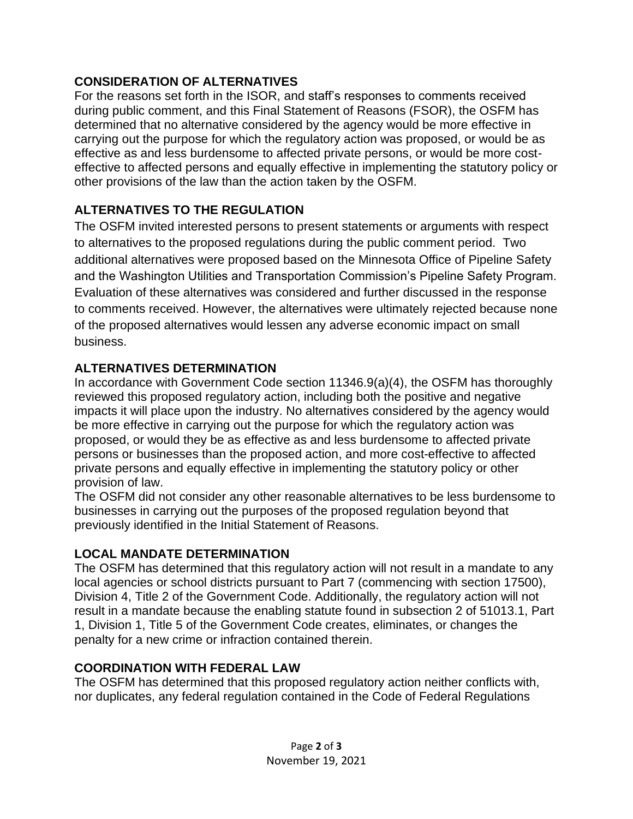### **CONSIDERATION OF ALTERNATIVES**

For the reasons set forth in the ISOR, and staff's responses to comments received during public comment, and this Final Statement of Reasons (FSOR), the OSFM has determined that no alternative considered by the agency would be more effective in carrying out the purpose for which the regulatory action was proposed, or would be as effective as and less burdensome to affected private persons, or would be more costeffective to affected persons and equally effective in implementing the statutory policy or other provisions of the law than the action taken by the OSFM.

# **ALTERNATIVES TO THE REGULATION**

The OSFM invited interested persons to present statements or arguments with respect to alternatives to the proposed regulations during the public comment period. Two additional alternatives were proposed based on the Minnesota Office of Pipeline Safety and the Washington Utilities and Transportation Commission's Pipeline Safety Program. Evaluation of these alternatives was considered and further discussed in the response to comments received. However, the alternatives were ultimately rejected because none of the proposed alternatives would lessen any adverse economic impact on small business.

## **ALTERNATIVES DETERMINATION**

In accordance with Government Code section 11346.9(a)(4), the OSFM has thoroughly reviewed this proposed regulatory action, including both the positive and negative impacts it will place upon the industry. No alternatives considered by the agency would be more effective in carrying out the purpose for which the regulatory action was proposed, or would they be as effective as and less burdensome to affected private persons or businesses than the proposed action, and more cost-effective to affected private persons and equally effective in implementing the statutory policy or other provision of law.

The OSFM did not consider any other reasonable alternatives to be less burdensome to businesses in carrying out the purposes of the proposed regulation beyond that previously identified in the Initial Statement of Reasons.

## **LOCAL MANDATE DETERMINATION**

The OSFM has determined that this regulatory action will not result in a mandate to any local agencies or school districts pursuant to Part 7 (commencing with section 17500), Division 4, Title 2 of the Government Code. Additionally, the regulatory action will not result in a mandate because the enabling statute found in subsection 2 of 51013.1, Part 1, Division 1, Title 5 of the Government Code creates, eliminates, or changes the penalty for a new crime or infraction contained therein.

## **COORDINATION WITH FEDERAL LAW**

The OSFM has determined that this proposed regulatory action neither conflicts with, nor duplicates, any federal regulation contained in the Code of Federal Regulations